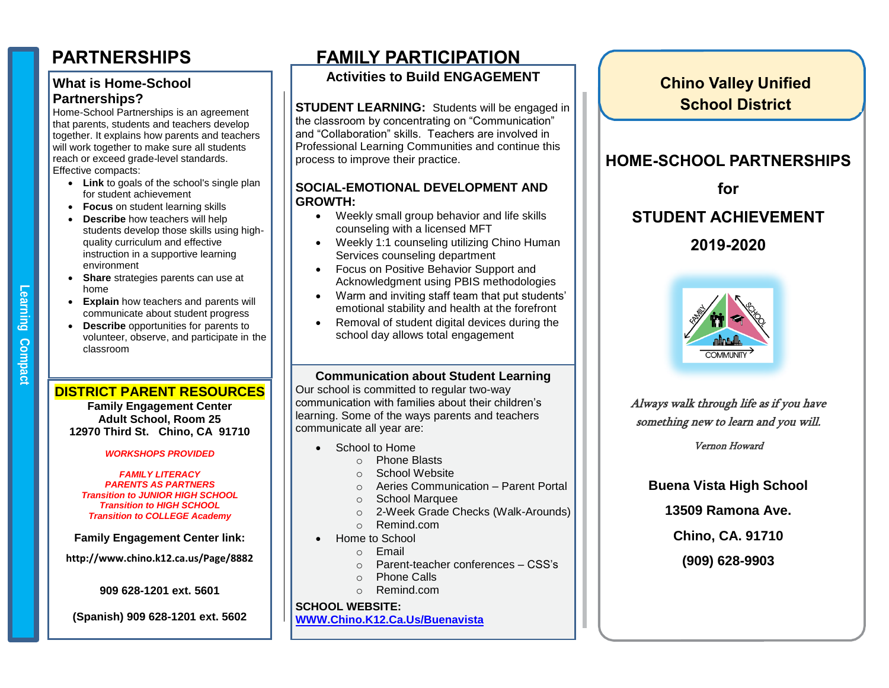#### **What is Home-School Partnerships?**

Home-School Partnerships is an agreement that parents, students and teachers develop together. It explains how parents and teachers will work together to make sure all students reach or exceed grade-level standards. Effective compacts:

- **Link** to goals of the school's single plan for student achievement
- **Focus** on student learning skills
- **Describe** how teachers will help students develop those skills using highquality curriculum and effective instruction in a supportive learning environment
- **Share** strategies parents can use at home
- **Explain** how teachers and parents will communicate about student progress
- **Describe** opportunities for parents to volunteer, observe, and participate in the classroom

### **DISTRICT PARENT RESOURCES**

**Family Engagement Center Adult School, Room 25 12970 Third St. Chino, CA 91710**

#### *WORKSHOPS PROVIDED*

*FAMILY LITERACY PARENTS AS PARTNERS Transition to JUNIOR HIGH SCHOOL Transition to HIGH SCHOOL Transition to COLLEGE Academy*

**Family Engagement Center link:**

**http://www.chino.k12.ca.us/Page/8882**

**909 628-1201 ext. 5601**

**(Spanish) 909 628-1201 ext. 5602**

# **PARTNERSHIPS FAMILY PARTICIPATION**

## **Activities to Build ENGAGEMENT**

**STUDENT LEARNING:** Students will be engaged in the classroom by concentrating on "Communication" and "Collaboration" skills. Teachers are involved in Professional Learning Communities and continue this process to improve their practice.

#### **SOCIAL-EMOTIONAL DEVELOPMENT AND GROWTH:**

- Weekly small group behavior and life skills counseling with a licensed MFT
- Weekly 1:1 counseling utilizing Chino Human Services counseling department
- Focus on Positive Behavior Support and Acknowledgment using PBIS methodologies
- Warm and inviting staff team that put students' emotional stability and health at the forefront
- Removal of student digital devices during the school day allows total engagement

#### **Communication about Student Learning**

Our school is committed to regular two-way communication with families about their children's learning. Some of the ways parents and teachers communicate all year are:

- School to Home
- **SCHOOL SCHOOL SITE COUNCIL**<br> **SCHOOL SITE CONNECTED**<br> **SCHOOL SITE CONNECTED**
- o Priorie Blasts<br>
partnerships on our advisory council. Please call of the state call of the state call of the state call of the
- o Scribol website<br>
o Aeries Communication Parent Portal  $\sigma$  accommodating to  $\sigma$ 
	- o School Marquee
	- o 2-Week Grade Checks (Walk-Arounds)
	- o Remind.com
	- Home to School
		- o Email
		- o Parent-teacher conferences CSS's
		- o Phone Calls
		- o Remind.com

### **SCHOOL WEBSITE:**

#### **[WWW.Chino.K12.Ca.Us/Buenavista](http://www.chino.k12.ca.us/Buenavista)**